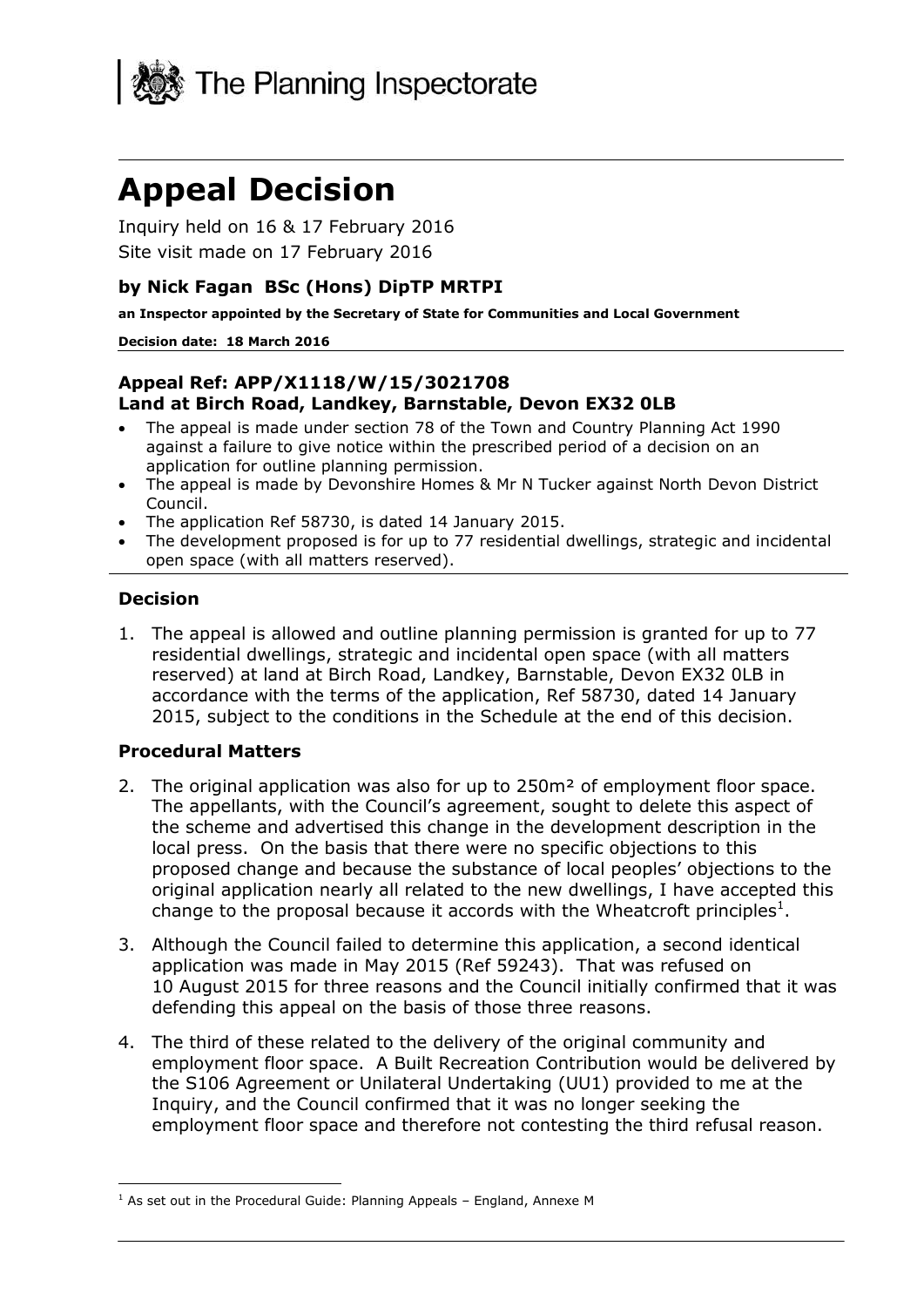

# **Appeal Decision**

 Inquiry held on 16 & 17 February 2016 Site visit made on 17 February 2016

## **by Nick Fagan BSc (Hons) DipTP MRTPI**

 **an Inspector appointed by the Secretary of State for Communities and Local Government** 

#### **Decision date: 18 March 2016**

#### **Land at Birch Road, Landkey, Barnstable, Devon EX32 0LB Appeal Ref: APP/X1118/W/15/3021708**

- The appeal is made under section 78 of the Town and Country Planning Act 1990 against a failure to give notice within the prescribed period of a decision on an application for outline planning permission.
- The appeal is made by Devonshire Homes & Mr N Tucker against North Devon District Council.
- The application Ref 58730, is dated 14 January 2015.
- The development proposed is for up to 77 residential dwellings, strategic and incidental open space (with all matters reserved).

#### **Decision**

 1. The appeal is allowed and outline planning permission is granted for up to 77 residential dwellings, strategic and incidental open space (with all matters reserved) at land at Birch Road, Landkey, Barnstable, Devon EX32 0LB in accordance with the terms of the application, Ref 58730, dated 14 January 2015, subject to the conditions in the Schedule at the end of this decision.

#### **Procedural Matters**

- 2. The original application was also for up to 250m<sup>2</sup> of employment floor space. The appellants, with the Council's agreement, sought to delete this aspect of local press. On the basis that there were no specific objections to this proposed change and because the substance of local peoples' objections to the original application nearly all related to the new dwellings, I have accepted this change to the proposal because it accords with the Wheatcroft principles<sup>1</sup>. the scheme and advertised this change in the development description in the
- 3. Although the Council failed to determine this application, a second identical application was made in May 2015 (Ref 59243). That was refused on 10 August 2015 for three reasons and the Council initially confirmed that it was defending this appeal on the basis of those three reasons.
- 4. The third of these related to the delivery of the original community and employment floor space. A Built Recreation Contribution would be delivered by the S106 Agreement or Unilateral Undertaking (UU1) provided to me at the employment floor space and therefore not contesting the third refusal reason. Inquiry, and the Council confirmed that it was no longer seeking the

j  $<sup>1</sup>$  As set out in the Procedural Guide: Planning Appeals – England, Annexe M</sup>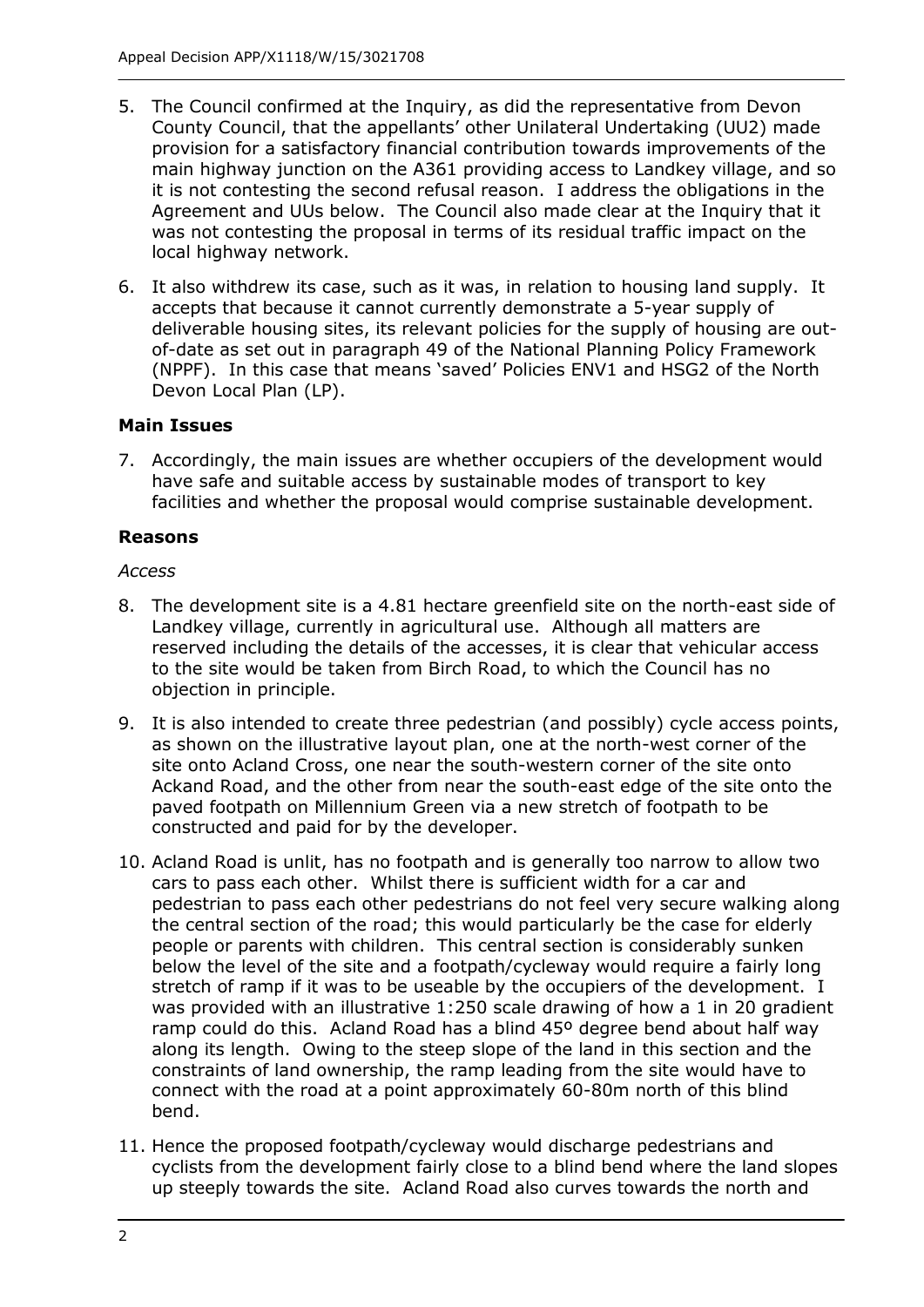- 5. The Council confirmed at the Inquiry, as did the representative from Devon County Council, that the appellants' other Unilateral Undertaking (UU2) made provision for a satisfactory financial contribution towards improvements of the main highway junction on the A361 providing access to Landkey village, and so it is not contesting the second refusal reason. I address the obligations in the Agreement and UUs below. The Council also made clear at the Inquiry that it was not contesting the proposal in terms of its residual traffic impact on the local highway network.
- 6. It also withdrew its case, such as it was, in relation to housing land supply. It accepts that because it cannot currently demonstrate a 5-year supply of deliverable housing sites, its relevant policies for the supply of housing are out- of-date as set out in paragraph 49 of the National Planning Policy Framework (NPPF). In this case that means 'saved' Policies ENV1 and HSG2 of the North Devon Local Plan (LP).

#### **Main Issues**

 7. Accordingly, the main issues are whether occupiers of the development would have safe and suitable access by sustainable modes of transport to key facilities and whether the proposal would comprise sustainable development.

#### **Reasons**

#### *Access*

- 8. The development site is a 4.81 hectare greenfield site on the north-east side of Landkey village, currently in agricultural use. Although all matters are reserved including the details of the accesses, it is clear that vehicular access to the site would be taken from Birch Road, to which the Council has no objection in principle.
- as shown on the illustrative layout plan, one at the north-west corner of the site onto Acland Cross, one near the south-western corner of the site onto Ackand Road, and the other from near the south-east edge of the site onto the paved footpath on Millennium Green via a new stretch of footpath to be constructed and paid for by the developer. 9. It is also intended to create three pedestrian (and possibly) cycle access points,
- 10. Acland Road is unlit, has no footpath and is generally too narrow to allow two cars to pass each other. Whilst there is sufficient width for a car and pedestrian to pass each other pedestrians do not feel very secure walking along people or parents with children. This central section is considerably sunken below the level of the site and a footpath/cycleway would require a fairly long stretch of ramp if it was to be useable by the occupiers of the development. I was provided with an illustrative 1:250 scale drawing of how a 1 in 20 gradient ramp could do this. Acland Road has a blind 45º degree bend about half way along its length. Owing to the steep slope of the land in this section and the constraints of land ownership, the ramp leading from the site would have to connect with the road at a point approximately 60-80m north of this blind the central section of the road; this would particularly be the case for elderly bend.
- 11. Hence the proposed footpath/cycleway would discharge pedestrians and cyclists from the development fairly close to a blind bend where the land slopes up steeply towards the site. Acland Road also curves towards the north and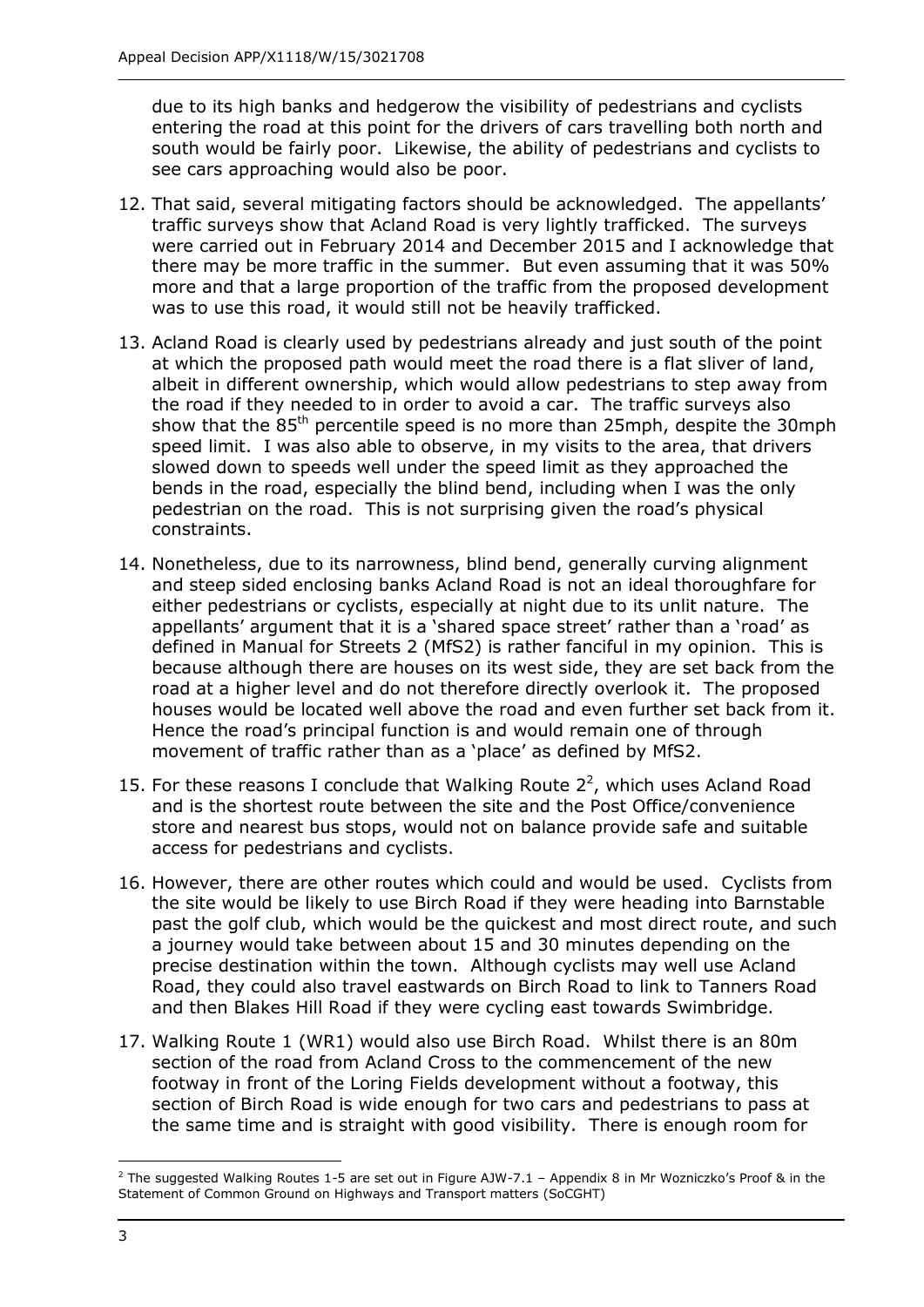entering the road at this point for the drivers of cars travelling both north and south would be fairly poor. Likewise, the ability of pedestrians and cyclists to see cars approaching would also be poor. due to its high banks and hedgerow the visibility of pedestrians and cyclists

- 12. That said, several mitigating factors should be acknowledged. The appellants' traffic surveys show that Acland Road is very lightly trafficked. The surveys were carried out in February 2014 and December 2015 and I acknowledge that there may be more traffic in the summer. But even assuming that it was 50% more and that a large proportion of the traffic from the proposed development was to use this road, it would still not be heavily trafficked.
- 13. Acland Road is clearly used by pedestrians already and just south of the point at which the proposed path would meet the road there is a flat sliver of land, albeit in different ownership, which would allow pedestrians to step away from the road if they needed to in order to avoid a car. The traffic surveys also speed limit. I was also able to observe, in my visits to the area, that drivers bends in the road, especially the blind bend, including when I was the only pedestrian on the road. This is not surprising given the road's physical show that the 85<sup>th</sup> percentile speed is no more than 25mph, despite the 30mph slowed down to speeds well under the speed limit as they approached the constraints.
- 14. Nonetheless, due to its narrowness, blind bend, generally curving alignment and steep sided enclosing banks Acland Road is not an ideal thoroughfare for either pedestrians or cyclists, especially at night due to its unlit nature. The appellants' argument that it is a 'shared space street' rather than a 'road' as defined in Manual for Streets 2 (MfS2) is rather fanciful in my opinion. This is because although there are houses on its west side, they are set back from the road at a higher level and do not therefore directly overlook it. The proposed houses would be located well above the road and even further set back from it. Hence the road's principal function is and would remain one of through movement of traffic rather than as a 'place' as defined by MfS2.
- 15. For these reasons I conclude that Walking Route  $2^2$ , which uses Acland Road store and nearest bus stops, would not on balance provide safe and suitable access for pedestrians and cyclists. and is the shortest route between the site and the Post Office/convenience
- 16. However, there are other routes which could and would be used. Cyclists from the site would be likely to use Birch Road if they were heading into Barnstable past the golf club, which would be the quickest and most direct route, and such a journey would take between about 15 and 30 minutes depending on the precise destination within the town. Although cyclists may well use Acland Road, they could also travel eastwards on Birch Road to link to Tanners Road and then Blakes Hill Road if they were cycling east towards Swimbridge.
- 17. Walking Route 1 (WR1) would also use Birch Road. Whilst there is an 80m section of the road from Acland Cross to the commencement of the new footway in front of the Loring Fields development without a footway, this the same time and is straight with good visibility. There is enough room for section of Birch Road is wide enough for two cars and pedestrians to pass at

j

 Statement of Common Ground on Highways and Transport matters (SoCGHT) <sup>2</sup> The suggested Walking Routes 1-5 are set out in Figure AJW-7.1 – Appendix 8 in Mr Wozniczko's Proof & in the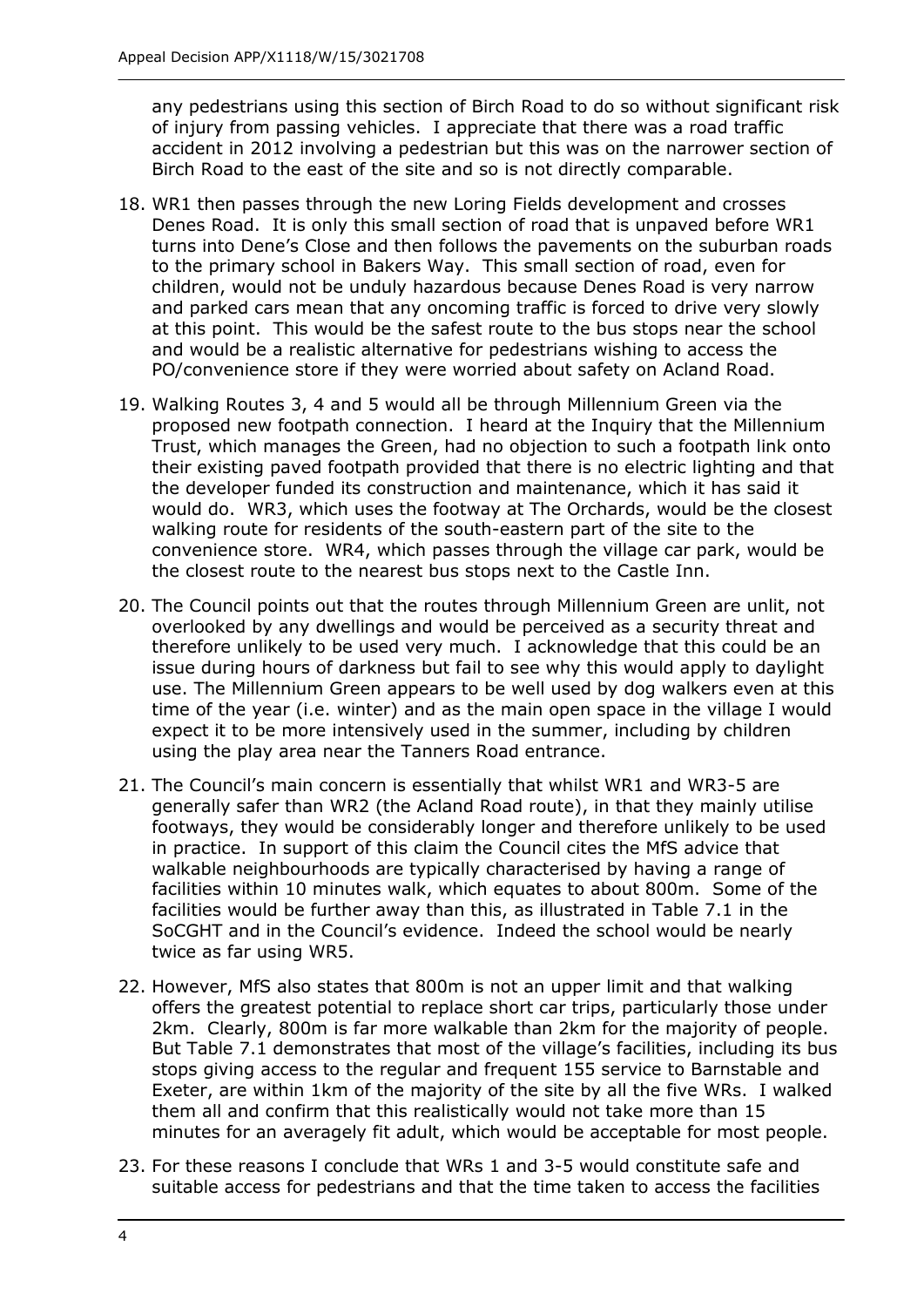of injury from passing vehicles. I appreciate that there was a road traffic accident in 2012 involving a pedestrian but this was on the narrower section of Birch Road to the east of the site and so is not directly comparable. any pedestrians using this section of Birch Road to do so without significant risk

- 18. WR1 then passes through the new Loring Fields development and crosses Denes Road. It is only this small section of road that is unpaved before WR1 to the primary school in Bakers Way. This small section of road, even for children, would not be unduly hazardous because Denes Road is very narrow and parked cars mean that any oncoming traffic is forced to drive very slowly at this point. This would be the safest route to the bus stops near the school and would be a realistic alternative for pedestrians wishing to access the PO/convenience store if they were worried about safety on Acland Road. turns into Dene's Close and then follows the pavements on the suburban roads
- 19. Walking Routes 3, 4 and 5 would all be through Millennium Green via the proposed new footpath connection. I heard at the Inquiry that the Millennium Trust, which manages the Green, had no objection to such a footpath link onto their existing paved footpath provided that there is no electric lighting and that the developer funded its construction and maintenance, which it has said it would do. WR3, which uses the footway at The Orchards, would be the closest convenience store. WR4, which passes through the village car park, would be walking route for residents of the south-eastern part of the site to the the closest route to the nearest bus stops next to the Castle Inn.
- 20. The Council points out that the routes through Millennium Green are unlit, not overlooked by any dwellings and would be perceived as a security threat and therefore unlikely to be used very much. I acknowledge that this could be an issue during hours of darkness but fail to see why this would apply to daylight use. The Millennium Green appears to be well used by dog walkers even at this time of the year (i.e. winter) and as the main open space in the village I would expect it to be more intensively used in the summer, including by children using the play area near the Tanners Road entrance.
- 21. The Council's main concern is essentially that whilst WR1 and WR3-5 are generally safer than WR2 (the Acland Road route), in that they mainly utilise footways, they would be considerably longer and therefore unlikely to be used walkable neighbourhoods are typically characterised by having a range of facilities within 10 minutes walk, which equates to about 800m. Some of the facilities would be further away than this, as illustrated in Table 7.1 in the SoCGHT and in the Council's evidence. Indeed the school would be nearly twice as far using WR5. in practice. In support of this claim the Council cites the MfS advice that
- 22. However, MfS also states that 800m is not an upper limit and that walking offers the greatest potential to replace short car trips, particularly those under 2km. Clearly, 800m is far more walkable than 2km for the majority of people. stops giving access to the regular and frequent 155 service to Barnstable and Exeter, are within 1km of the majority of the site by all the five WRs. I walked them all and confirm that this realistically would not take more than 15 minutes for an averagely fit adult, which would be acceptable for most people. But Table 7.1 demonstrates that most of the village's facilities, including its bus
- 23. For these reasons I conclude that WRs 1 and 3-5 would constitute safe and suitable access for pedestrians and that the time taken to access the facilities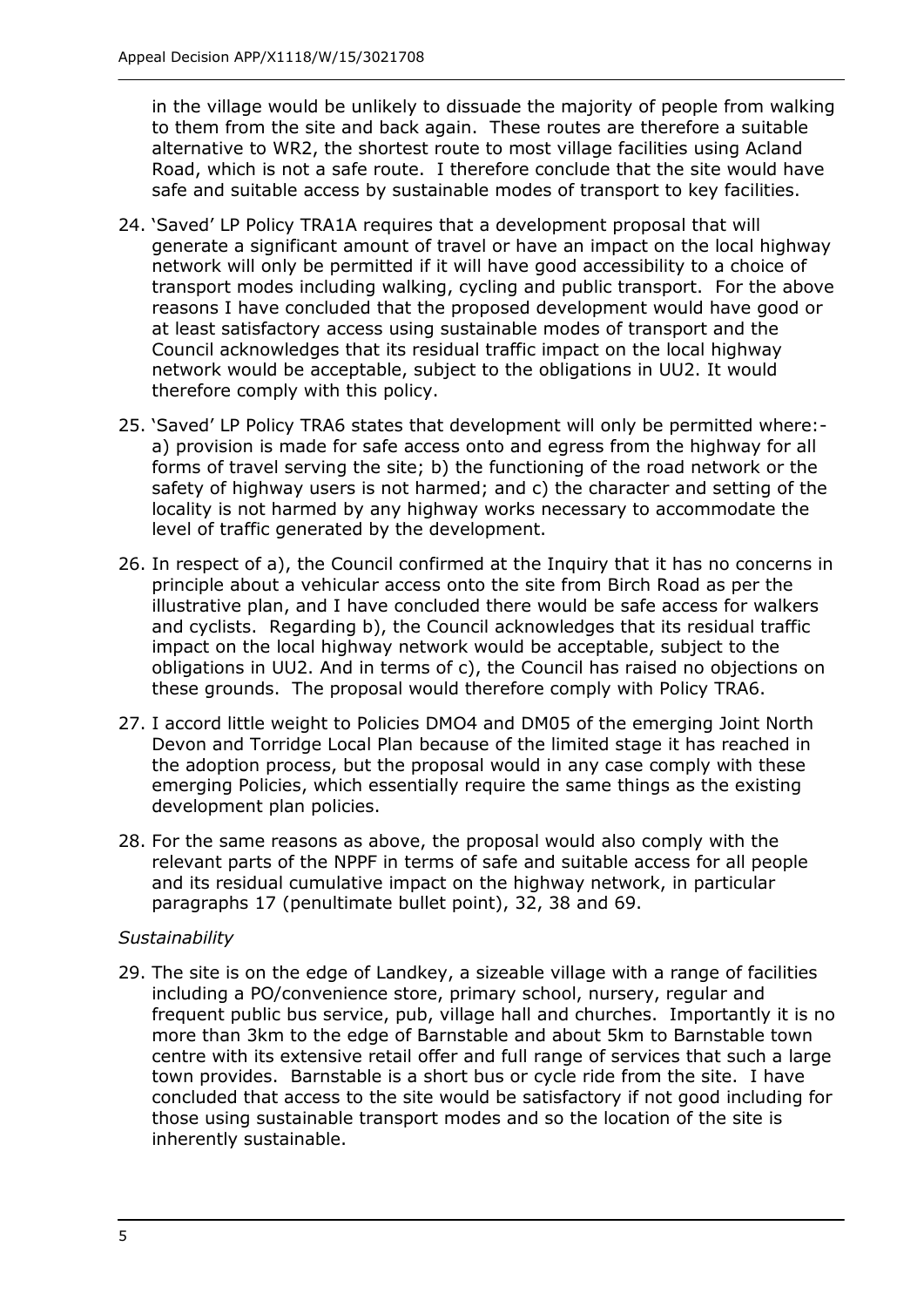in the village would be unlikely to dissuade the majority of people from walking to them from the site and back again. These routes are therefore a suitable alternative to WR2, the shortest route to most village facilities using Acland Road, which is not a safe route. I therefore conclude that the site would have safe and suitable access by sustainable modes of transport to key facilities.

- 24. 'Saved' LP Policy TRA1A requires that a development proposal that will generate a significant amount of travel or have an impact on the local highway network will only be permitted if it will have good accessibility to a choice of transport modes including walking, cycling and public transport. For the above reasons I have concluded that the proposed development would have good or at least satisfactory access using sustainable modes of transport and the Council acknowledges that its residual traffic impact on the local highway network would be acceptable, subject to the obligations in UU2. It would therefore comply with this policy.
- 25. 'Saved' LP Policy TRA6 states that development will only be permitted where:- a) provision is made for safe access onto and egress from the highway for all forms of travel serving the site; b) the functioning of the road network or the safety of highway users is not harmed; and c) the character and setting of the locality is not harmed by any highway works necessary to accommodate the level of traffic generated by the development.
- principle about a vehicular access onto the site from Birch Road as per the illustrative plan, and I have concluded there would be safe access for walkers and cyclists. Regarding b), the Council acknowledges that its residual traffic impact on the local highway network would be acceptable, subject to the obligations in UU2. And in terms of c), the Council has raised no objections on these grounds. The proposal would therefore comply with Policy TRA6. 26. In respect of a), the Council confirmed at the Inquiry that it has no concerns in
- 27. I accord little weight to Policies DMO4 and DM05 of the emerging Joint North Devon and Torridge Local Plan because of the limited stage it has reached in the adoption process, but the proposal would in any case comply with these emerging Policies, which essentially require the same things as the existing development plan policies.
- 28. For the same reasons as above, the proposal would also comply with the relevant parts of the NPPF in terms of safe and suitable access for all people and its residual cumulative impact on the highway network, in particular paragraphs 17 (penultimate bullet point), 32, 38 and 69.

## *Sustainability*

 29. The site is on the edge of Landkey, a sizeable village with a range of facilities including a PO/convenience store, primary school, nursery, regular and frequent public bus service, pub, village hall and churches. Importantly it is no more than 3km to the edge of Barnstable and about 5km to Barnstable town centre with its extensive retail offer and full range of services that such a large town provides. Barnstable is a short bus or cycle ride from the site. I have concluded that access to the site would be satisfactory if not good including for those using sustainable transport modes and so the location of the site is inherently sustainable.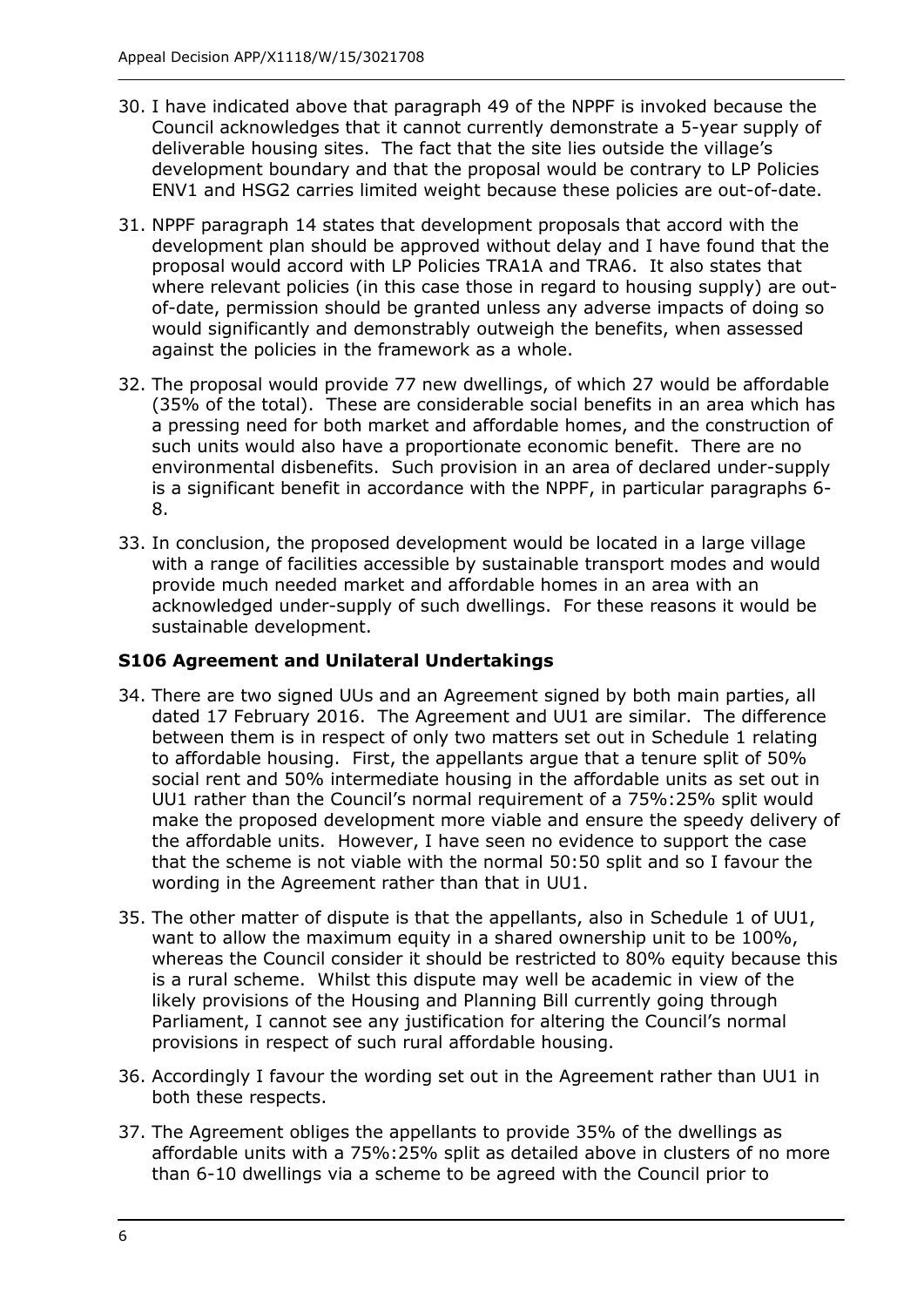- 30. I have indicated above that paragraph 49 of the NPPF is invoked because the Council acknowledges that it cannot currently demonstrate a 5-year supply of deliverable housing sites. The fact that the site lies outside the village's development boundary and that the proposal would be contrary to LP Policies ENV1 and HSG2 carries limited weight because these policies are out-of-date.
- 31. NPPF paragraph 14 states that development proposals that accord with the development plan should be approved without delay and I have found that the proposal would accord with LP Policies TRA1A and TRA6. It also states that where relevant policies (in this case those in regard to housing supply) are out- of-date, permission should be granted unless any adverse impacts of doing so would significantly and demonstrably outweigh the benefits, when assessed against the policies in the framework as a whole.
- 32. The proposal would provide 77 new dwellings, of which 27 would be affordable (35% of the total). These are considerable social benefits in an area which has a pressing need for both market and affordable homes, and the construction of such units would also have a proportionate economic benefit. There are no environmental disbenefits. Such provision in an area of declared under-supply is a significant benefit in accordance with the NPPF, in particular paragraphs 6- 8.
- 33. In conclusion, the proposed development would be located in a large village with a range of facilities accessible by sustainable transport modes and would provide much needed market and affordable homes in an area with an acknowledged under-supply of such dwellings. For these reasons it would be sustainable development.

## **S106 Agreement and Unilateral Undertakings**

- 34. There are two signed UUs and an Agreement signed by both main parties, all dated 17 February 2016. The Agreement and UU1 are similar. The difference to affordable housing. First, the appellants argue that a tenure split of 50% social rent and 50% intermediate housing in the affordable units as set out in UU1 rather than the Council's normal requirement of a 75%:25% split would make the proposed development more viable and ensure the speedy delivery of the affordable units. However, I have seen no evidence to support the case that the scheme is not viable with the normal 50:50 split and so I favour the wording in the Agreement rather than that in UU1. between them is in respect of only two matters set out in Schedule 1 relating
- 35. The other matter of dispute is that the appellants, also in Schedule 1 of UU1, want to allow the maximum equity in a shared ownership unit to be 100%, is a rural scheme. Whilst this dispute may well be academic in view of the likely provisions of the Housing and Planning Bill currently going through Parliament, I cannot see any justification for altering the Council's normal whereas the Council consider it should be restricted to 80% equity because this provisions in respect of such rural affordable housing.
- 36. Accordingly I favour the wording set out in the Agreement rather than UU1 in both these respects.
- affordable units with a 75%:25% split as detailed above in clusters of no more than 6-10 dwellings via a scheme to be agreed with the Council prior to 37. The Agreement obliges the appellants to provide 35% of the dwellings as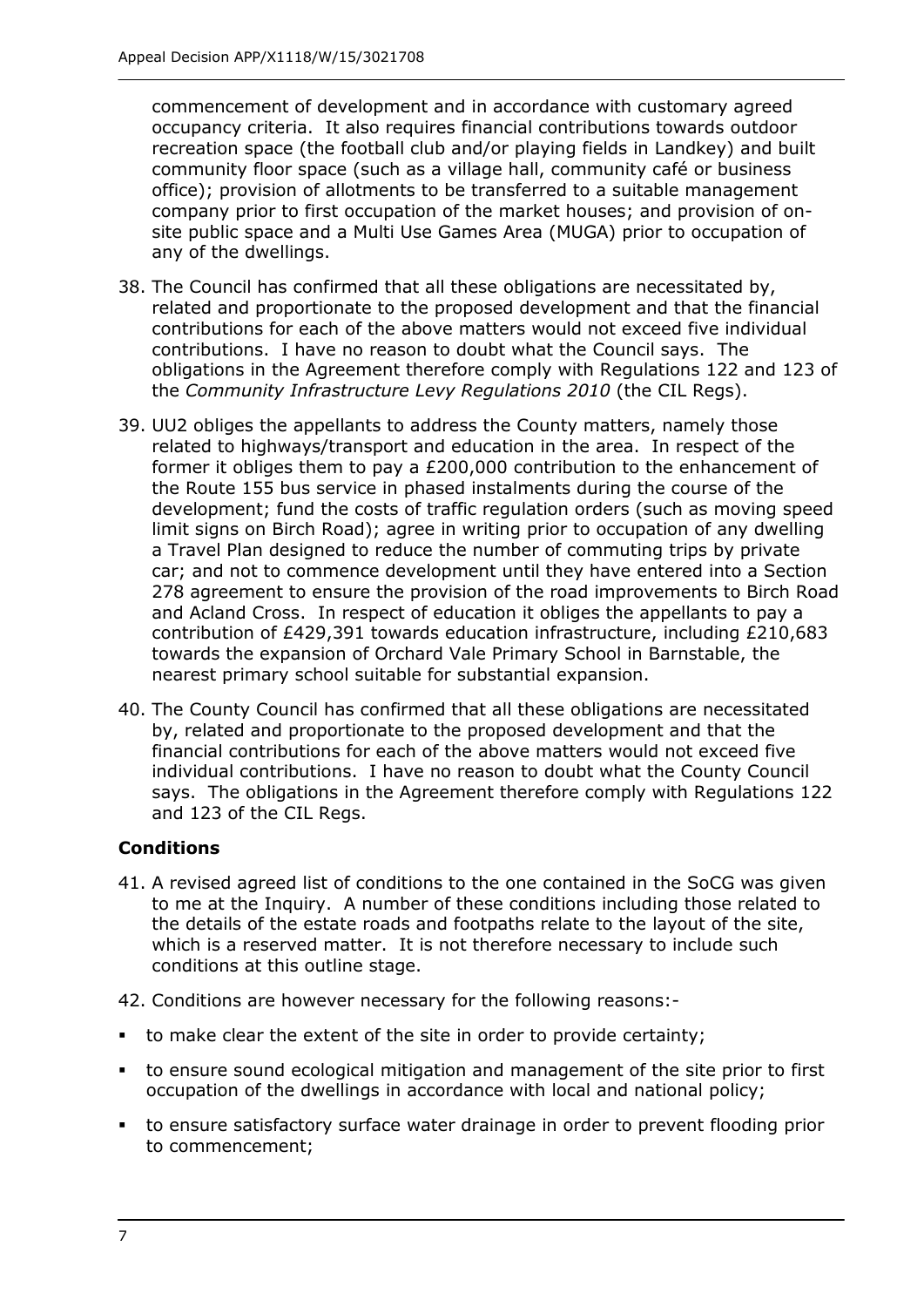commencement of development and in accordance with customary agreed occupancy criteria. It also requires financial contributions towards outdoor recreation space (the football club and/or playing fields in Landkey) and built community floor space (such as a village hall, community café or business site public space and a Multi Use Games Area (MUGA) prior to occupation of office); provision of allotments to be transferred to a suitable management company prior to first occupation of the market houses; and provision of onany of the dwellings.

- 38. The Council has confirmed that all these obligations are necessitated by, related and proportionate to the proposed development and that the financial contributions for each of the above matters would not exceed five individual contributions. I have no reason to doubt what the Council says. The obligations in the Agreement therefore comply with Regulations 122 and 123 of  the *Community Infrastructure Levy Regulations 2010* (the CIL Regs).
- 39. UU2 obliges the appellants to address the County matters, namely those related to highways/transport and education in the area. In respect of the former it obliges them to pay a £200,000 contribution to the enhancement of limit signs on Birch Road); agree in writing prior to occupation of any dwelling a Travel Plan designed to reduce the number of commuting trips by private car; and not to commence development until they have entered into a Section and Acland Cross. In respect of education it obliges the appellants to pay a contribution of £429,391 towards education infrastructure, including £210,683 towards the expansion of Orchard Vale Primary School in Barnstable, the nearest primary school suitable for substantial expansion. the Route 155 bus service in phased instalments during the course of the development; fund the costs of traffic regulation orders (such as moving speed 278 agreement to ensure the provision of the road improvements to Birch Road
- 40. The County Council has confirmed that all these obligations are necessitated by, related and proportionate to the proposed development and that the financial contributions for each of the above matters would not exceed five individual contributions. I have no reason to doubt what the County Council says. The obligations in the Agreement therefore comply with Regulations 122 and 123 of the CIL Regs.

## **Conditions**

- to me at the Inquiry. A number of these conditions including those related to which is a reserved matter. It is not therefore necessary to include such 41. A revised agreed list of conditions to the one contained in the SoCG was given the details of the estate roads and footpaths relate to the layout of the site, conditions at this outline stage.
- 42. Conditions are however necessary for the following reasons:-
- to make clear the extent of the site in order to provide certainty;
- to ensure sound ecological mitigation and management of the site prior to first occupation of the dwellings in accordance with local and national policy;
- to ensure satisfactory surface water drainage in order to prevent flooding prior to commencement;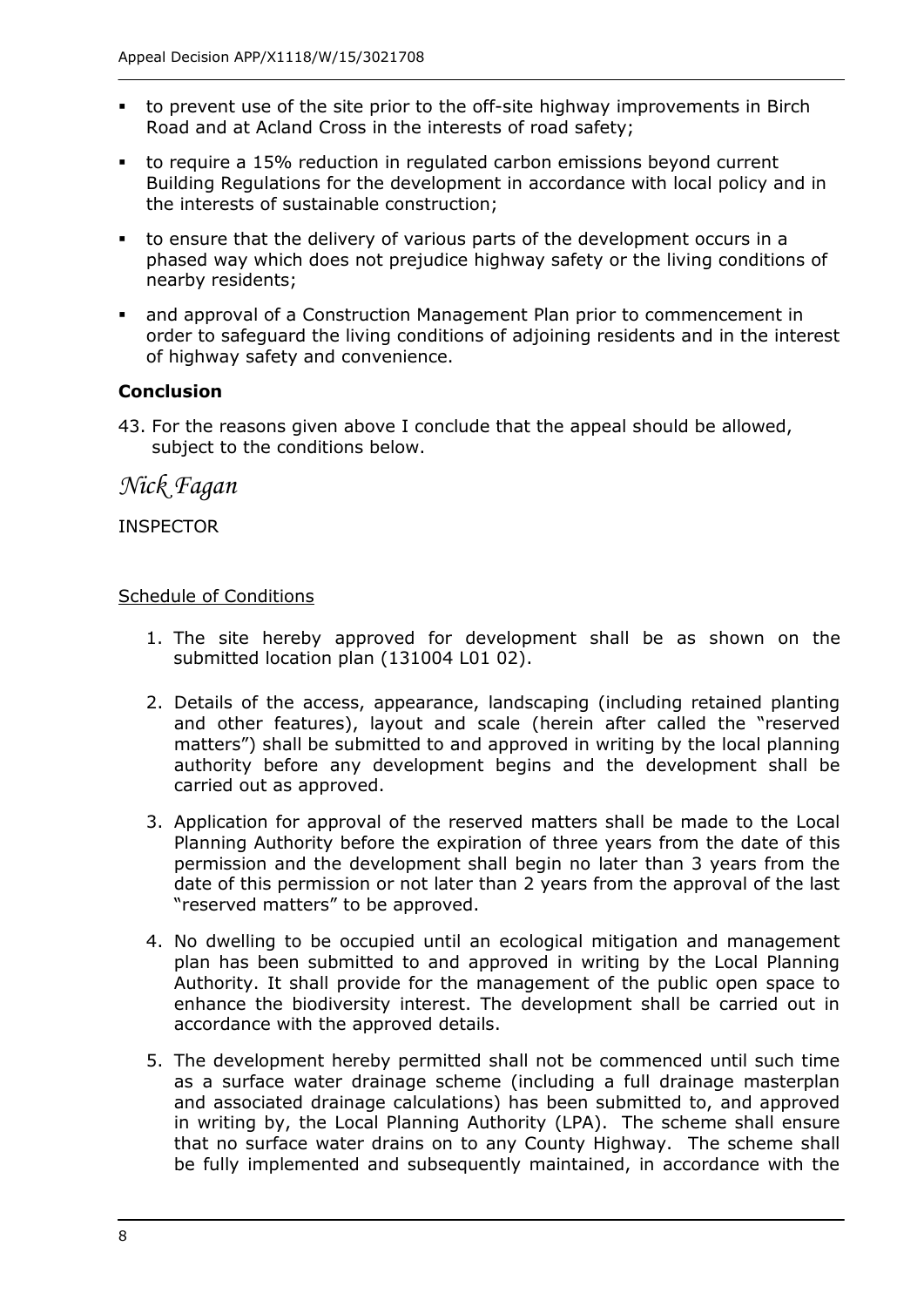- Road and at Acland Cross in the interests of road safety; to prevent use of the site prior to the off-site highway improvements in Birch
- to require a 15% reduction in regulated carbon emissions beyond current Building Regulations for the development in accordance with local policy and in the interests of sustainable construction;
- phased way which does not prejudice highway safety or the living conditions of to ensure that the delivery of various parts of the development occurs in a nearby residents;
- and approval of a Construction Management Plan prior to commencement in order to safeguard the living conditions of adjoining residents and in the interest of highway safety and convenience.

## **Conclusion**

 43. For the reasons given above I conclude that the appeal should be allowed, subject to the conditions below.

## *Nick Fagan*

## INSPECTOR

#### Schedule of Conditions

- 1. The site hereby approved for development shall be as shown on the submitted location plan (131004 L01 02).
- and other features), layout and scale (herein after called the "reserved matters") shall be submitted to and approved in writing by the local planning authority before any development begins and the development shall be 2. Details of the access, appearance, landscaping (including retained planting carried out as approved.
- Planning Authority before the expiration of three years from the date of this permission and the development shall begin no later than 3 years from the date of this permission or not later than 2 years from the approval of the last 3. Application for approval of the reserved matters shall be made to the Local "reserved matters" to be approved.
- 4. No dwelling to be occupied until an ecological mitigation and management plan has been submitted to and approved in writing by the Local Planning Authority. It shall provide for the management of the public open space to enhance the biodiversity interest. The development shall be carried out in accordance with the approved details.
- accordance with the approved details. 5. The development hereby permitted shall not be commenced until such time as a surface water drainage scheme (including a full drainage masterplan and associated drainage calculations) has been submitted to, and approved in writing by, the Local Planning Authority (LPA). The scheme shall ensure that no surface water drains on to any County Highway. The scheme shall be fully implemented and subsequently maintained, in accordance with the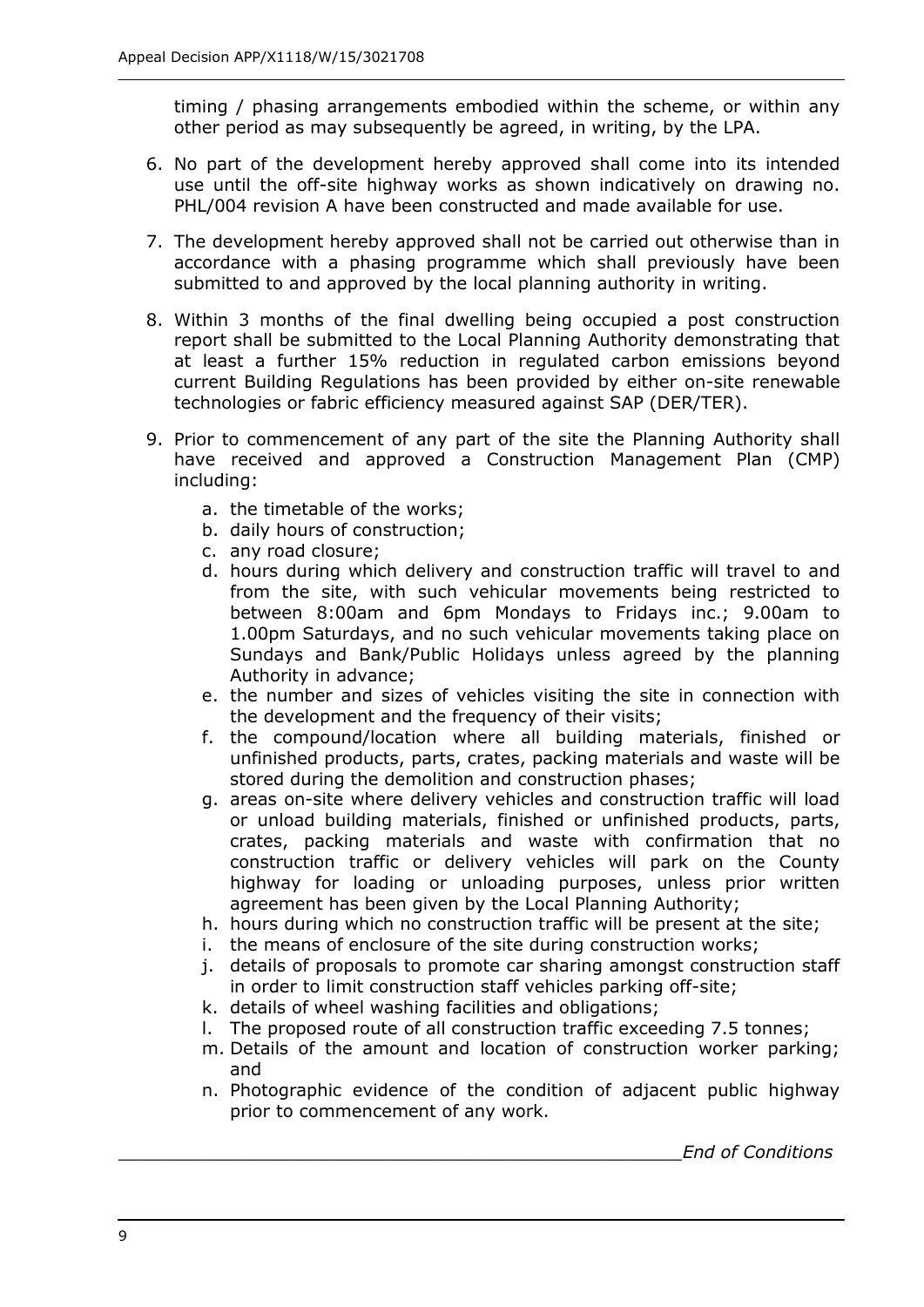timing / phasing arrangements embodied within the scheme, or within any other period as may subsequently be agreed, in writing, by the LPA.

- 6. No part of the development hereby approved shall come into its intended use until the off-site highway works as shown indicatively on drawing no. PHL/004 revision A have been constructed and made available for use.
- PHL/004 revision A have been constructed and made available for use. 7. The development hereby approved shall not be carried out otherwise than in accordance with a phasing programme which shall previously have been submitted to and approved by the local planning authority in writing.
- 8. Within 3 months of the final dwelling being occupied a post construction report shall be submitted to the Local Planning Authority demonstrating that at least a further 15% reduction in regulated carbon emissions beyond current Building Regulations has been provided by either on-site renewable technologies or fabric efficiency measured against SAP (DER/TER).
- 9. Prior to commencement of any part of the site the Planning Authority shall have received and approved a Construction Management Plan (CMP) including:
	- a. the timetable of the works;
	- b. daily hours of construction;
	- c. any road closure;
	- d. hours during which delivery and construction traffic will travel to and from the site, with such vehicular movements being restricted to between 8:00am and 6pm Mondays to Fridays inc.; 9.00am to 1.00pm Saturdays, and no such vehicular movements taking place on Sundays and Bank/Public Holidays unless agreed by the planning Authority in advance;
	- the development and the frequency of their visits; e. the number and sizes of vehicles visiting the site in connection with
	- f. the compound/location where all building materials, finished or unfinished products, parts, crates, packing materials and waste will be stored during the demolition and construction phases;
	- g. areas on-site where delivery vehicles and construction traffic will load or unload building materials, finished or unfinished products, parts, crates, packing materials and waste with confirmation that no construction traffic or delivery vehicles will park on the County highway for loading or unloading purposes, unless prior written agreement has been given by the Local Planning Authority;
	- h. hours during which no construction traffic will be present at the site;
	- i. the means of enclosure of the site during construction works:
	- i. the means of enclosure of the site during construction works;<br>j. details of proposals to promote car sharing amongst construction staff in order to limit construction staff vehicles parking off-site;
	- k. details of wheel washing facilities and obligations;
	- l. The proposed route of all construction traffic exceeding 7.5 tonnes;
	- m. Details of the amount and location of construction worker parking; and
	- prior to commencement of any work. n. Photographic evidence of the condition of adjacent public highway

\_\_\_\_\_\_\_\_\_\_\_\_\_\_\_\_\_\_\_\_\_\_\_\_\_\_\_\_\_\_\_\_\_\_\_\_\_\_\_\_\_\_\_\_\_\_\_\_\_\_\_\_*End of Conditions*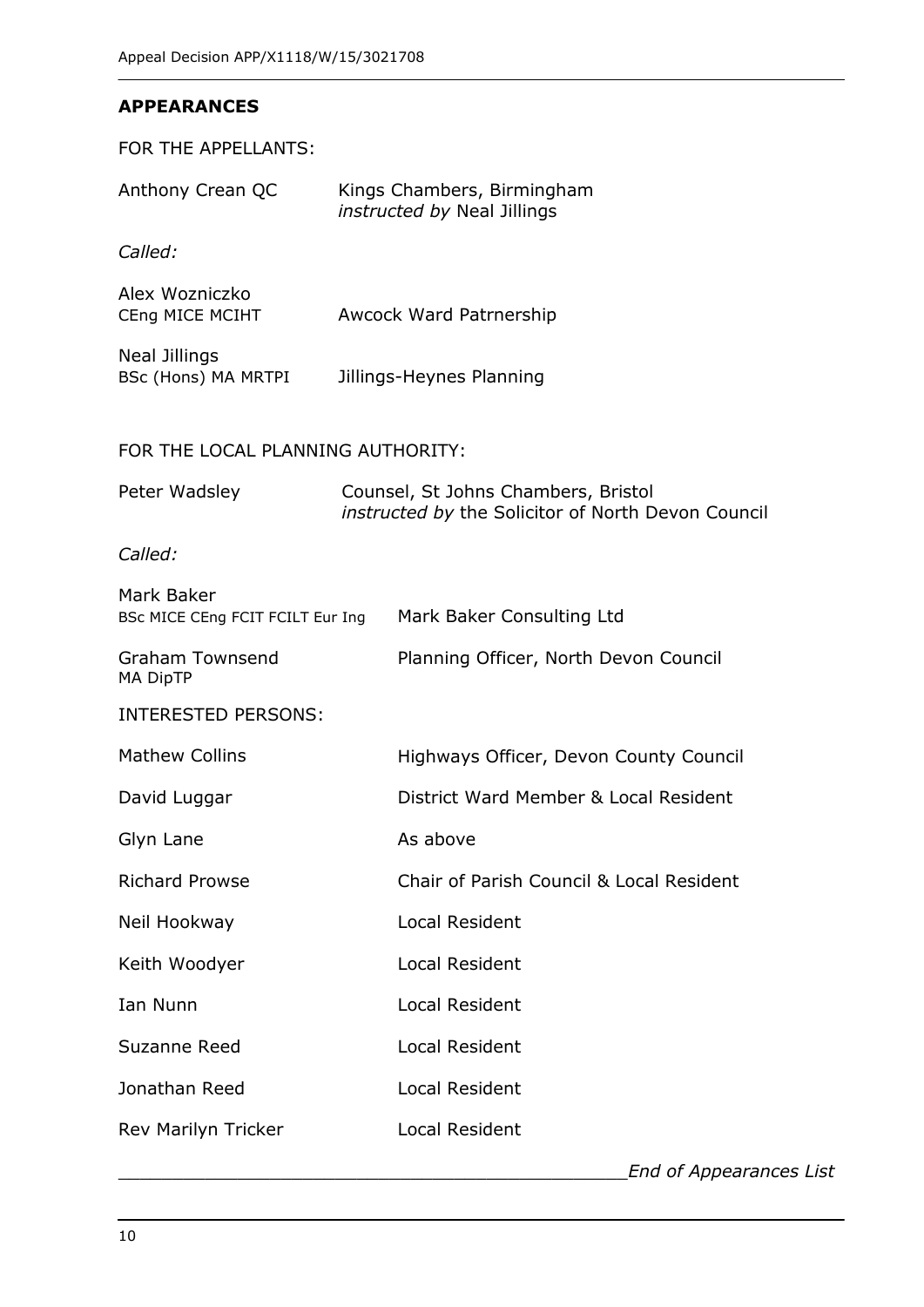#### **APPEARANCES**

FOR THE APPELLANTS:

| Anthony Crean QC                               | Kings Chambers, Birmingham<br>instructed by Neal Jillings                                 |
|------------------------------------------------|-------------------------------------------------------------------------------------------|
| Called:                                        |                                                                                           |
| Alex Wozniczko<br>CEng MICE MCIHT              | Awcock Ward Patrnership                                                                   |
| <b>Neal Jillings</b><br>BSc (Hons) MA MRTPI    | Jillings-Heynes Planning                                                                  |
| FOR THE LOCAL PLANNING AUTHORITY:              |                                                                                           |
| Peter Wadsley                                  | Counsel, St Johns Chambers, Bristol<br>instructed by the Solicitor of North Devon Council |
| Called:                                        |                                                                                           |
| Mark Baker<br>BSc MICE CEng FCIT FCILT Eur Ing | Mark Baker Consulting Ltd                                                                 |
| <b>Graham Townsend</b><br><b>MA DipTP</b>      | Planning Officer, North Devon Council                                                     |
| <b>INTERESTED PERSONS:</b>                     |                                                                                           |
| <b>Mathew Collins</b>                          | Highways Officer, Devon County Council                                                    |
| David Luggar                                   | District Ward Member & Local Resident                                                     |
| Glyn Lane                                      | As above                                                                                  |
| <b>Richard Prowse</b>                          | Chair of Parish Council & Local Resident                                                  |
| Neil Hookway                                   | Local Resident                                                                            |
| Keith Woodyer                                  | Local Resident                                                                            |
| Ian Nunn                                       | Local Resident                                                                            |
| Suzanne Reed                                   | <b>Local Resident</b>                                                                     |
| Jonathan Reed                                  | Local Resident                                                                            |
| Rev Marilyn Tricker                            | <b>Local Resident</b>                                                                     |
|                                                |                                                                                           |

 \_\_\_\_\_\_\_\_\_\_\_\_\_\_\_\_\_\_\_\_\_\_\_\_\_\_\_\_\_\_\_\_\_\_\_\_\_\_\_\_\_\_\_\_\_\_\_*End of Appearances List*